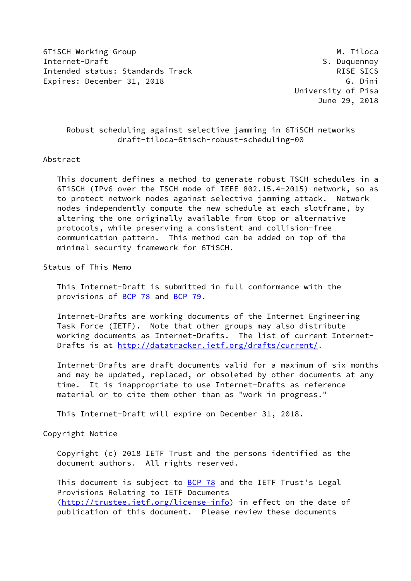6TiSCH Working Group **M. Tiloca** M. Tiloca Internet-Draft Services of the S. Duquennoy S. Duquennoy Intended status: Standards Track RISE SICS Expires: December 31, 2018 G. Dini

 University of Pisa June 29, 2018

# Robust scheduling against selective jamming in 6TiSCH networks draft-tiloca-6tisch-robust-scheduling-00

### Abstract

 This document defines a method to generate robust TSCH schedules in a 6TiSCH (IPv6 over the TSCH mode of IEEE 802.15.4-2015) network, so as to protect network nodes against selective jamming attack. Network nodes independently compute the new schedule at each slotframe, by altering the one originally available from 6top or alternative protocols, while preserving a consistent and collision-free communication pattern. This method can be added on top of the minimal security framework for 6TiSCH.

Status of This Memo

 This Internet-Draft is submitted in full conformance with the provisions of [BCP 78](https://datatracker.ietf.org/doc/pdf/bcp78) and [BCP 79](https://datatracker.ietf.org/doc/pdf/bcp79).

 Internet-Drafts are working documents of the Internet Engineering Task Force (IETF). Note that other groups may also distribute working documents as Internet-Drafts. The list of current Internet- Drafts is at<http://datatracker.ietf.org/drafts/current/>.

 Internet-Drafts are draft documents valid for a maximum of six months and may be updated, replaced, or obsoleted by other documents at any time. It is inappropriate to use Internet-Drafts as reference material or to cite them other than as "work in progress."

This Internet-Draft will expire on December 31, 2018.

Copyright Notice

 Copyright (c) 2018 IETF Trust and the persons identified as the document authors. All rights reserved.

This document is subject to **[BCP 78](https://datatracker.ietf.org/doc/pdf/bcp78)** and the IETF Trust's Legal Provisions Relating to IETF Documents [\(http://trustee.ietf.org/license-info](http://trustee.ietf.org/license-info)) in effect on the date of publication of this document. Please review these documents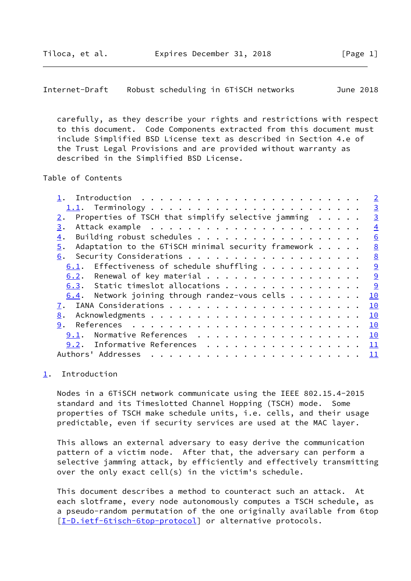<span id="page-1-1"></span>Internet-Draft Robust scheduling in 6TiSCH networks June 2018

 carefully, as they describe your rights and restrictions with respect to this document. Code Components extracted from this document must include Simplified BSD License text as described in Section 4.e of the Trust Legal Provisions and are provided without warranty as described in the Simplified BSD License.

## Table of Contents

|                                                                          |  |  | $\overline{2}$ |
|--------------------------------------------------------------------------|--|--|----------------|
|                                                                          |  |  | $\overline{3}$ |
| Properties of TSCH that simplify selective jamming $\ldots \ldots$<br>2. |  |  | $\overline{3}$ |
| 3.                                                                       |  |  | $\overline{4}$ |
| Building robust schedules<br>4.                                          |  |  | 6              |
| Adaptation to the 6TiSCH minimal security framework $\dots$ .<br>5.      |  |  | 8              |
| 6.                                                                       |  |  | 8              |
| Effectiveness of schedule shuffling $\cdots$<br>6.1.                     |  |  | 9              |
| 6.2. Renewal of key material $\ldots$                                    |  |  | 9              |
| 6.3. Static timeslot allocations                                         |  |  | <u>୍ର</u>      |
| Network joining through randez-vous cells $\dots$<br>6.4.                |  |  | 10             |
|                                                                          |  |  | 10             |
| 8.                                                                       |  |  | 10             |
| 9.                                                                       |  |  | 10             |
| Normative References<br>9.1.                                             |  |  | 10             |
| 9.2. Informative References                                              |  |  | <u> 11</u>     |
| Authors' Addresses                                                       |  |  | - 11           |
|                                                                          |  |  |                |

#### <span id="page-1-0"></span>[1](#page-1-0). Introduction

 Nodes in a 6TiSCH network communicate using the IEEE 802.15.4-2015 standard and its Timeslotted Channel Hopping (TSCH) mode. Some properties of TSCH make schedule units, i.e. cells, and their usage predictable, even if security services are used at the MAC layer.

 This allows an external adversary to easy derive the communication pattern of a victim node. After that, the adversary can perform a selective jamming attack, by efficiently and effectively transmitting over the only exact cell(s) in the victim's schedule.

 This document describes a method to counteract such an attack. At each slotframe, every node autonomously computes a TSCH schedule, as a pseudo-random permutation of the one originally available from 6top [\[I-D.ietf-6tisch-6top-protocol](#page-11-2)] or alternative protocols.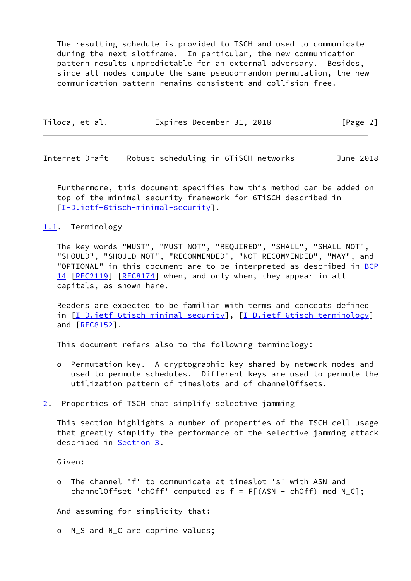The resulting schedule is provided to TSCH and used to communicate during the next slotframe. In particular, the new communication pattern results unpredictable for an external adversary. Besides, since all nodes compute the same pseudo-random permutation, the new communication pattern remains consistent and collision-free.

| Tiloca, et al. | Expires December 31, 2018 | [Page 2] |
|----------------|---------------------------|----------|
|                |                           |          |

<span id="page-2-1"></span>Internet-Draft Robust scheduling in 6TiSCH networks June 2018

 Furthermore, this document specifies how this method can be added on top of the minimal security framework for 6TiSCH described in [\[I-D.ietf-6tisch-minimal-security](#page-10-6)].

### <span id="page-2-0"></span>[1.1](#page-2-0). Terminology

 The key words "MUST", "MUST NOT", "REQUIRED", "SHALL", "SHALL NOT", "SHOULD", "SHOULD NOT", "RECOMMENDED", "NOT RECOMMENDED", "MAY", and "OPTIONAL" in this document are to be interpreted as described in [BCP](https://datatracker.ietf.org/doc/pdf/bcp14) [14](https://datatracker.ietf.org/doc/pdf/bcp14) [[RFC2119\]](https://datatracker.ietf.org/doc/pdf/rfc2119) [\[RFC8174](https://datatracker.ietf.org/doc/pdf/rfc8174)] when, and only when, they appear in all capitals, as shown here.

 Readers are expected to be familiar with terms and concepts defined in [[I-D.ietf-6tisch-minimal-security\]](#page-10-6), [\[I-D.ietf-6tisch-terminology](#page-11-3)] and [\[RFC8152](https://datatracker.ietf.org/doc/pdf/rfc8152)].

This document refers also to the following terminology:

- o Permutation key. A cryptographic key shared by network nodes and used to permute schedules. Different keys are used to permute the utilization pattern of timeslots and of channelOffsets.
- <span id="page-2-2"></span>[2](#page-2-2). Properties of TSCH that simplify selective jamming

 This section highlights a number of properties of the TSCH cell usage that greatly simplify the performance of the selective jamming attack described in [Section 3](#page-3-0).

Given:

 o The channel 'f' to communicate at timeslot 's' with ASN and channelOffset 'chOff' computed as  $f = F[(ASN + chOff) \mod N_C];$ 

And assuming for simplicity that:

o N\_S and N\_C are coprime values;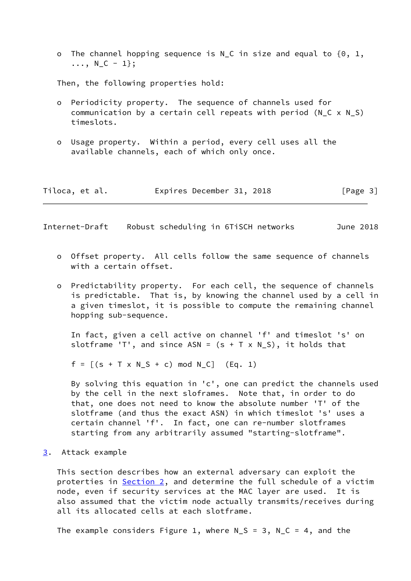o The channel hopping sequence is N\_C in size and equal to  $\{0, 1, 1\}$  $\ldots$ , N<sub>\_</sub>C - 1 };

Then, the following properties hold:

- o Periodicity property. The sequence of channels used for communication by a certain cell repeats with period  $(N_C x N_S)$ timeslots.
- o Usage property. Within a period, every cell uses all the available channels, each of which only once.

| Tiloca, et al. | Expires December 31, 2018 |  | [Page 3] |
|----------------|---------------------------|--|----------|
|----------------|---------------------------|--|----------|

<span id="page-3-1"></span>Internet-Draft Robust scheduling in 6TiSCH networks June 2018

- o Offset property. All cells follow the same sequence of channels with a certain offset.
- o Predictability property. For each cell, the sequence of channels is predictable. That is, by knowing the channel used by a cell in a given timeslot, it is possible to compute the remaining channel hopping sub-sequence.

 In fact, given a cell active on channel 'f' and timeslot 's' on slotframe 'T', and since  $ASN = (s + T \times N_S)$ , it holds that

 $f = [(s + T \times N_S + c) \mod N_C]$  (Eq. 1)

 By solving this equation in 'c', one can predict the channels used by the cell in the next sloframes. Note that, in order to do that, one does not need to know the absolute number 'T' of the slotframe (and thus the exact ASN) in which timeslot 's' uses a certain channel 'f'. In fact, one can re-number slotframes starting from any arbitrarily assumed "starting-slotframe".

<span id="page-3-0"></span>[3](#page-3-0). Attack example

 This section describes how an external adversary can exploit the proterties in [Section 2,](#page-2-2) and determine the full schedule of a victim node, even if security services at the MAC layer are used. It is also assumed that the victim node actually transmits/receives during all its allocated cells at each slotframe.

The example considers Figure 1, where  $N_S = 3$ ,  $N_C = 4$ , and the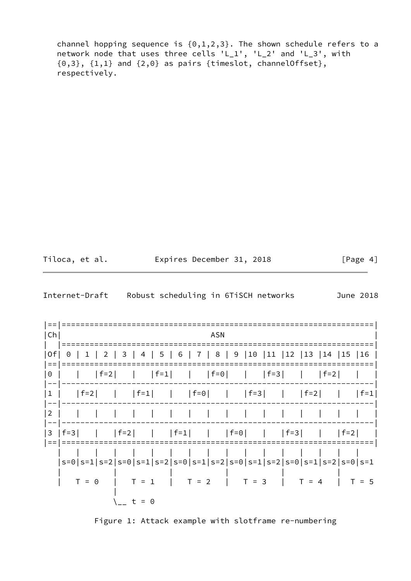channel hopping sequence is  ${0,1,2,3}$ . The shown schedule refers to a network node that uses three cells 'L\_1', 'L\_2' and 'L\_3', with  ${0,3}, {1,1}$  and  ${2,0}$  as pairs {timeslot, channelOffset}, respectively.

| Tiloca, et al. | Expires December 31, 2018 |  | [Page 4] |
|----------------|---------------------------|--|----------|
|----------------|---------------------------|--|----------|

| Internet-Draft | Robust scheduling in 6TiSCH networks |  | June 2018 |  |
|----------------|--------------------------------------|--|-----------|--|
|                |                                      |  |           |  |

| Ch             |          |         |         |             |         |              |              |              |         |             | <b>ASN</b> |              |              |         |         |              |         |         |                                                                        |         |
|----------------|----------|---------|---------|-------------|---------|--------------|--------------|--------------|---------|-------------|------------|--------------|--------------|---------|---------|--------------|---------|---------|------------------------------------------------------------------------|---------|
|                |          |         |         |             |         |              |              |              |         |             |            |              |              |         |         |              |         |         |                                                                        |         |
| Of             | $\Theta$ | 1       |         | $2^{\circ}$ |         |              |              |              |         |             |            |              |              |         |         |              |         |         | 3   4   5   6   7   8   9   10   11   12   13   14   15   16           |         |
| $=$ $=$        |          |         |         |             |         |              |              |              |         |             |            |              |              |         |         |              |         |         |                                                                        |         |
| $\Theta$       |          |         | $ f=2 $ |             |         | $\mathbf{L}$ |              | $ f=1 $      |         | $ $ $ f=0 $ |            |              | $\mathbf{1}$ |         | $ f=3 $ |              |         | $ f=2 $ |                                                                        |         |
| $\mathbf 1$    |          | $ f=2 $ |         |             |         | $ f=1 $      |              | $\mathbb{R}$ |         | $ f=0 $     |            | $\mathbb{R}$ |              | $ f=3 $ |         | $\mathbf{I}$ | $ f=2 $ |         |                                                                        | $ f=1 $ |
|                |          |         |         |             |         |              |              |              |         |             |            |              |              |         |         |              |         |         |                                                                        |         |
| 2              |          |         |         |             |         |              |              |              |         |             |            |              |              |         |         |              |         |         |                                                                        |         |
|                |          |         |         |             |         |              |              |              |         |             |            |              |              |         |         |              |         |         |                                                                        |         |
| $\overline{3}$ | $-f=3$   |         |         |             | $ f=2 $ |              | $\mathbf{I}$ |              | $ f=1 $ |             |            | $ f=0 $      |              |         | $\Box$  | $ f=3 $      |         |         | $ f=2 $                                                                |         |
| $=$ $=$        |          |         |         |             |         |              |              |              |         |             |            |              |              |         |         |              |         |         |                                                                        |         |
|                |          |         |         |             |         |              |              |              |         |             |            |              |              |         |         |              |         |         |                                                                        |         |
|                |          |         |         |             |         |              |              |              |         |             |            |              |              |         |         |              |         |         | $ s=0 s=1 s=2 s=0 s=1 s=2 s=0 s=1 s=2 s=0 s=1 s=2 s=0 s=1 s=2 s=0 s=1$ |         |
|                |          | $T = 0$ |         |             |         | $T = 1$      |              |              |         | $T = 2$     |            | $\mathbf{L}$ | $T = 3$      |         |         |              | $T = 4$ |         |                                                                        | $T = 5$ |
|                |          |         |         |             |         |              |              |              |         |             |            |              |              |         |         |              |         |         |                                                                        |         |
|                |          |         |         |             |         | $t = 0$      |              |              |         |             |            |              |              |         |         |              |         |         |                                                                        |         |

Figure 1: Attack example with slotframe re-numbering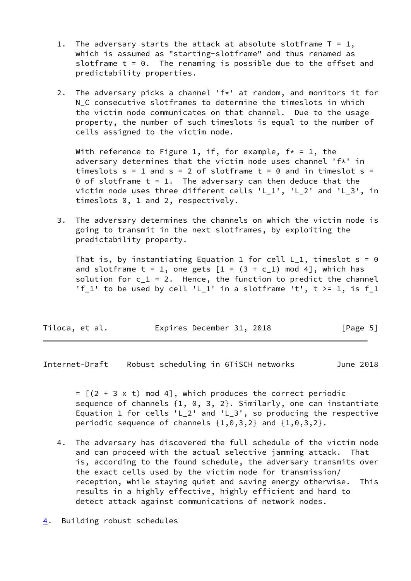- 1. The adversary starts the attack at absolute slotframe  $T = 1$ , which is assumed as "starting-slotframe" and thus renamed as slotframe  $t = 0$ . The renaming is possible due to the offset and predictability properties.
- 2. The adversary picks a channel 'f\*' at random, and monitors it for N C consecutive slotframes to determine the timeslots in which the victim node communicates on that channel. Due to the usage property, the number of such timeslots is equal to the number of cells assigned to the victim node.

With reference to Figure 1, if, for example,  $f* = 1$ , the adversary determines that the victim node uses channel 'f\*' in timeslots  $s = 1$  and  $s = 2$  of slotframe  $t = 0$  and in timeslot  $s =$ 0 of slotframe  $t = 1$ . The adversary can then deduce that the victim node uses three different cells 'L\_1', 'L\_2' and 'L\_3', in timeslots 0, 1 and 2, respectively.

 3. The adversary determines the channels on which the victim node is going to transmit in the next slotframes, by exploiting the predictability property.

That is, by instantiating Equation 1 for cell  $L_1$ , timeslot s = 0 and slotframe  $t = 1$ , one gets  $[1 = (3 + c_1)]$  mod 4], which has solution for  $c_1 = 2$ . Hence, the function to predict the channel 'f\_1' to be used by cell 'L\_1' in a slotframe 't',  $t > = 1$ , is f\_1

| Tiloca, et al. | Expires December 31, 2018 |  | [Page 5] |  |
|----------------|---------------------------|--|----------|--|
|                |                           |  |          |  |

<span id="page-5-1"></span>Internet-Draft Robust scheduling in 6TiSCH networks June 2018

 $=$   $[(2 + 3 \times t)$  mod 4], which produces the correct periodic sequence of channels {1, 0, 3, 2}. Similarly, one can instantiate Equation 1 for cells 'L\_2' and 'L\_3', so producing the respective periodic sequence of channels  $\{1,0,3,2\}$  and  $\{1,0,3,2\}$ .

 4. The adversary has discovered the full schedule of the victim node and can proceed with the actual selective jamming attack. That is, according to the found schedule, the adversary transmits over the exact cells used by the victim node for transmission/ reception, while staying quiet and saving energy otherwise. This results in a highly effective, highly efficient and hard to detect attack against communications of network nodes.

<span id="page-5-0"></span>[4](#page-5-0). Building robust schedules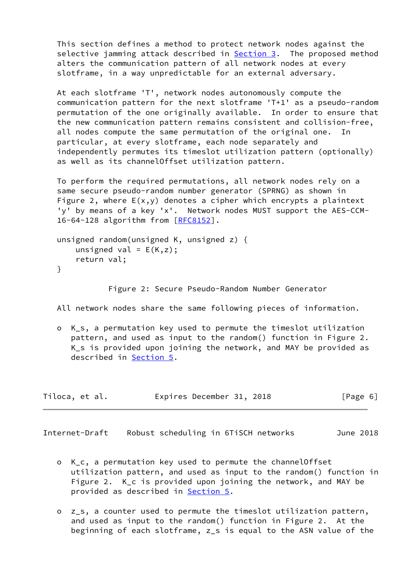This section defines a method to protect network nodes against the selective jamming attack described in **Section 3</u>.** The proposed method alters the communication pattern of all network nodes at every slotframe, in a way unpredictable for an external adversary.

 At each slotframe 'T', network nodes autonomously compute the communication pattern for the next slotframe 'T+1' as a pseudo-random permutation of the one originally available. In order to ensure that the new communication pattern remains consistent and collision-free, all nodes compute the same permutation of the original one. In particular, at every slotframe, each node separately and independently permutes its timeslot utilization pattern (optionally) as well as its channelOffset utilization pattern.

 To perform the required permutations, all network nodes rely on a same secure pseudo-random number generator (SPRNG) as shown in Figure 2, where  $E(x,y)$  denotes a cipher which encrypts a plaintext 'y' by means of a key 'x'. Network nodes MUST support the AES-CCM- 16-64-128 algorithm from [\[RFC8152](https://datatracker.ietf.org/doc/pdf/rfc8152)].

```
 unsigned random(unsigned K, unsigned z) {
   unsigned val = E(K, z);
    return val;
}
```
Figure 2: Secure Pseudo-Random Number Generator

All network nodes share the same following pieces of information.

 o K\_s, a permutation key used to permute the timeslot utilization pattern, and used as input to the random() function in Figure 2. K\_s is provided upon joining the network, and MAY be provided as described in [Section 5](#page-8-0).

| Tiloca, et al. |  | Expires December 31, 2018 | [Page 6] |
|----------------|--|---------------------------|----------|
|----------------|--|---------------------------|----------|

Internet-Draft Robust scheduling in 6TiSCH networks June 2018

- o K\_c, a permutation key used to permute the channelOffset utilization pattern, and used as input to the random() function in Figure 2. K c is provided upon joining the network, and MAY be provided as described in **[Section 5.](#page-8-0)**
- o z\_s, a counter used to permute the timeslot utilization pattern, and used as input to the random() function in Figure 2. At the beginning of each slotframe, z\_s is equal to the ASN value of the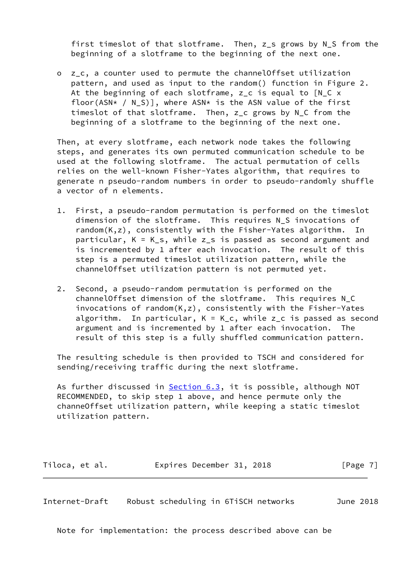first timeslot of that slotframe. Then, z s grows by N S from the beginning of a slotframe to the beginning of the next one.

o z c, a counter used to permute the channelOffset utilization pattern, and used as input to the random() function in Figure 2. At the beginning of each slotframe,  $z$  c is equal to  $N$  C  $x$ floor(ASN\* / N S)], where ASN\* is the ASN value of the first timeslot of that slotframe. Then, z\_c grows by N\_C from the beginning of a slotframe to the beginning of the next one.

 Then, at every slotframe, each network node takes the following steps, and generates its own permuted communication schedule to be used at the following slotframe. The actual permutation of cells relies on the well-known Fisher-Yates algorithm, that requires to generate n pseudo-random numbers in order to pseudo-randomly shuffle a vector of n elements.

- 1. First, a pseudo-random permutation is performed on the timeslot dimension of the slotframe. This requires N\_S invocations of random(K,z), consistently with the Fisher-Yates algorithm. In particular, K = K\_s, while z\_s is passed as second argument and is incremented by 1 after each invocation. The result of this step is a permuted timeslot utilization pattern, while the channelOffset utilization pattern is not permuted yet.
- 2. Second, a pseudo-random permutation is performed on the channelOffset dimension of the slotframe. This requires N\_C invocations of random(K,z), consistently with the Fisher-Yates algorithm. In particular,  $K = K_c$ , while  $z_c$  is passed as second argument and is incremented by 1 after each invocation. The result of this step is a fully shuffled communication pattern.

 The resulting schedule is then provided to TSCH and considered for sending/receiving traffic during the next slotframe.

As further discussed in [Section 6.3](#page-9-3), it is possible, although NOT RECOMMENDED, to skip step 1 above, and hence permute only the channeOffset utilization pattern, while keeping a static timeslot utilization pattern.

Tiloca, et al. **Expires December 31, 2018** [Page 7]

<span id="page-7-0"></span>Internet-Draft Robust scheduling in 6TiSCH networks June 2018

Note for implementation: the process described above can be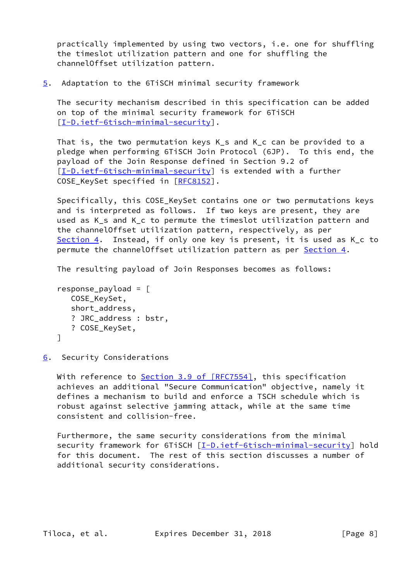practically implemented by using two vectors, i.e. one for shuffling the timeslot utilization pattern and one for shuffling the channelOffset utilization pattern.

<span id="page-8-0"></span>[5](#page-8-0). Adaptation to the 6TiSCH minimal security framework

 The security mechanism described in this specification can be added on top of the minimal security framework for 6TiSCH [\[I-D.ietf-6tisch-minimal-security](#page-10-6)].

 That is, the two permutation keys K\_s and K\_c can be provided to a pledge when performing 6TiSCH Join Protocol (6JP). To this end, the payload of the Join Response defined in Section 9.2 of [\[I-D.ietf-6tisch-minimal-security](#page-10-6)] is extended with a further COSE\_KeySet specified in [\[RFC8152](https://datatracker.ietf.org/doc/pdf/rfc8152)].

 Specifically, this COSE\_KeySet contains one or two permutations keys and is interpreted as follows. If two keys are present, they are used as K s and K c to permute the timeslot utilization pattern and the channelOffset utilization pattern, respectively, as per [Section 4](#page-5-0). Instead, if only one key is present, it is used as K\_c to permute the channelOffset utilization pattern as per [Section 4](#page-5-0).

The resulting payload of Join Responses becomes as follows:

```
 response_payload = [
   COSE_KeySet,
   short_address,
   ? JRC_address : bstr,
   ? COSE_KeySet,
]
```
<span id="page-8-1"></span>[6](#page-8-1). Security Considerations

 With reference to Section [3.9 of \[RFC7554\]](https://datatracker.ietf.org/doc/pdf/rfc7554#section-3.9), this specification achieves an additional "Secure Communication" objective, namely it defines a mechanism to build and enforce a TSCH schedule which is robust against selective jamming attack, while at the same time consistent and collision-free.

 Furthermore, the same security considerations from the minimal security framework for 6TiSCH [[I-D.ietf-6tisch-minimal-security\]](#page-10-6) hold for this document. The rest of this section discusses a number of additional security considerations.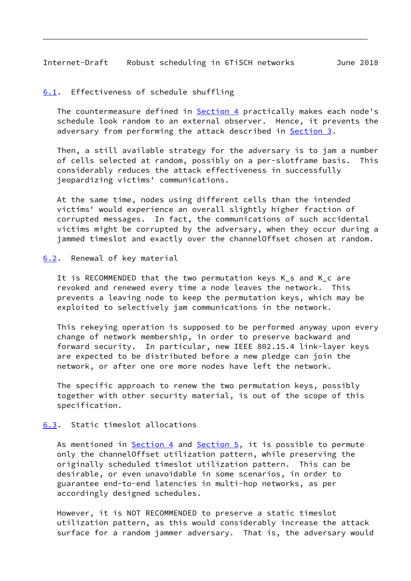### <span id="page-9-1"></span><span id="page-9-0"></span>[6.1](#page-9-0). Effectiveness of schedule shuffling

 The countermeasure defined in [Section 4](#page-5-0) practically makes each node's schedule look random to an external observer. Hence, it prevents the adversary from performing the attack described in [Section 3.](#page-3-0)

 Then, a still available strategy for the adversary is to jam a number of cells selected at random, possibly on a per-slotframe basis. This considerably reduces the attack effectiveness in successfully jeopardizing victims' communications.

 At the same time, nodes using different cells than the intended victims' would experience an overall slightly higher fraction of corrupted messages. In fact, the communications of such accidental victims might be corrupted by the adversary, when they occur during a jammed timeslot and exactly over the channelOffset chosen at random.

### <span id="page-9-2"></span>[6.2](#page-9-2). Renewal of key material

 It is RECOMMENDED that the two permutation keys K\_s and K\_c are revoked and renewed every time a node leaves the network. This prevents a leaving node to keep the permutation keys, which may be exploited to selectively jam communications in the network.

 This rekeying operation is supposed to be performed anyway upon every change of network membership, in order to preserve backward and forward security. In particular, new IEEE 802.15.4 link-layer keys are expected to be distributed before a new pledge can join the network, or after one ore more nodes have left the network.

 The specific approach to renew the two permutation keys, possibly together with other security material, is out of the scope of this specification.

### <span id="page-9-3"></span>[6.3](#page-9-3). Static timeslot allocations

As mentioned in  $Section 4$  and  $Section 5$ , it is possible to permute only the channelOffset utilization pattern, while preserving the originally scheduled timeslot utilization pattern. This can be desirable, or even unavoidable in some scenarios, in order to guarantee end-to-end latencies in multi-hop networks, as per accordingly designed schedules.

 However, it is NOT RECOMMENDED to preserve a static timeslot utilization pattern, as this would considerably increase the attack surface for a random jammer adversary. That is, the adversary would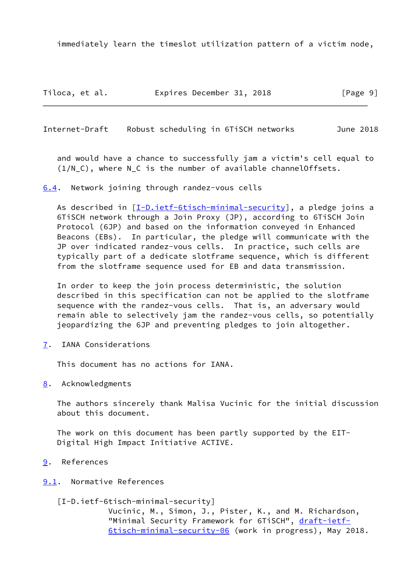immediately learn the timeslot utilization pattern of a victim node,

Tiloca, et al. Expires December 31, 2018 [Page 9]

<span id="page-10-1"></span>Internet-Draft Robust scheduling in 6TiSCH networks June 2018

 and would have a chance to successfully jam a victim's cell equal to  $(1/N\,C)$ , where N C is the number of available channelOffsets.

<span id="page-10-0"></span>[6.4](#page-10-0). Network joining through randez-vous cells

As described in  $[I-D.iett-6tisch-minimal-security]$ , a pledge joins a 6TiSCH network through a Join Proxy (JP), according to 6TiSCH Join Protocol (6JP) and based on the information conveyed in Enhanced Beacons (EBs). In particular, the pledge will communicate with the JP over indicated randez-vous cells. In practice, such cells are typically part of a dedicate slotframe sequence, which is different from the slotframe sequence used for EB and data transmission.

 In order to keep the join process deterministic, the solution described in this specification can not be applied to the slotframe sequence with the randez-vous cells. That is, an adversary would remain able to selectively jam the randez-vous cells, so potentially jeopardizing the 6JP and preventing pledges to join altogether.

<span id="page-10-2"></span>[7](#page-10-2). IANA Considerations

This document has no actions for IANA.

<span id="page-10-3"></span>[8](#page-10-3). Acknowledgments

 The authors sincerely thank Malisa Vucinic for the initial discussion about this document.

 The work on this document has been partly supported by the EIT- Digital High Impact Initiative ACTIVE.

<span id="page-10-4"></span>[9](#page-10-4). References

<span id="page-10-5"></span>[9.1](#page-10-5). Normative References

<span id="page-10-6"></span>[I-D.ietf-6tisch-minimal-security]

 Vucinic, M., Simon, J., Pister, K., and M. Richardson, "Minimal Security Framework for 6TiSCH", [draft-ietf-](https://datatracker.ietf.org/doc/pdf/draft-ietf-6tisch-minimal-security-06)[6tisch-minimal-security-06](https://datatracker.ietf.org/doc/pdf/draft-ietf-6tisch-minimal-security-06) (work in progress), May 2018.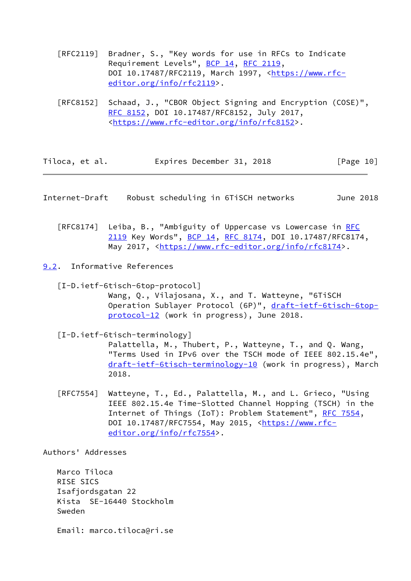- [RFC2119] Bradner, S., "Key words for use in RFCs to Indicate Requirement Levels", [BCP 14](https://datatracker.ietf.org/doc/pdf/bcp14), [RFC 2119](https://datatracker.ietf.org/doc/pdf/rfc2119), DOI 10.17487/RFC2119, March 1997, [<https://www.rfc](https://www.rfc-editor.org/info/rfc2119) [editor.org/info/rfc2119](https://www.rfc-editor.org/info/rfc2119)>.
- [RFC8152] Schaad, J., "CBOR Object Signing and Encryption (COSE)", [RFC 8152,](https://datatracker.ietf.org/doc/pdf/rfc8152) DOI 10.17487/RFC8152, July 2017, <[https://www.rfc-editor.org/info/rfc8152>](https://www.rfc-editor.org/info/rfc8152).

| Tiloca, et al. | Expires December 31, 2018 | [Page 10] |
|----------------|---------------------------|-----------|
|----------------|---------------------------|-----------|

<span id="page-11-1"></span>Internet-Draft Robust scheduling in 6TiSCH networks June 2018

 [RFC8174] Leiba, B., "Ambiguity of Uppercase vs Lowercase in [RFC](https://datatracker.ietf.org/doc/pdf/rfc2119) [2119](https://datatracker.ietf.org/doc/pdf/rfc2119) Key Words", [BCP 14](https://datatracker.ietf.org/doc/pdf/bcp14), [RFC 8174,](https://datatracker.ietf.org/doc/pdf/rfc8174) DOI 10.17487/RFC8174, May 2017, [<https://www.rfc-editor.org/info/rfc8174](https://www.rfc-editor.org/info/rfc8174)>.

<span id="page-11-0"></span>[9.2](#page-11-0). Informative References

<span id="page-11-2"></span> [I-D.ietf-6tisch-6top-protocol] Wang, Q., Vilajosana, X., and T. Watteyne, "6TiSCH Operation Sublayer Protocol (6P)", [draft-ietf-6tisch-6top](https://datatracker.ietf.org/doc/pdf/draft-ietf-6tisch-6top-protocol-12) [protocol-12](https://datatracker.ietf.org/doc/pdf/draft-ietf-6tisch-6top-protocol-12) (work in progress), June 2018.

<span id="page-11-3"></span>[I-D.ietf-6tisch-terminology]

 Palattella, M., Thubert, P., Watteyne, T., and Q. Wang, "Terms Used in IPv6 over the TSCH mode of IEEE 802.15.4e", [draft-ietf-6tisch-terminology-10](https://datatracker.ietf.org/doc/pdf/draft-ietf-6tisch-terminology-10) (work in progress), March 2018.

 [RFC7554] Watteyne, T., Ed., Palattella, M., and L. Grieco, "Using IEEE 802.15.4e Time-Slotted Channel Hopping (TSCH) in the Internet of Things (IoT): Problem Statement", [RFC 7554](https://datatracker.ietf.org/doc/pdf/rfc7554), DOI 10.17487/RFC7554, May 2015, <[https://www.rfc](https://www.rfc-editor.org/info/rfc7554) [editor.org/info/rfc7554](https://www.rfc-editor.org/info/rfc7554)>.

Authors' Addresses

 Marco Tiloca RISE SICS Isafjordsgatan 22 Kista SE-16440 Stockholm Sweden

Email: marco.tiloca@ri.se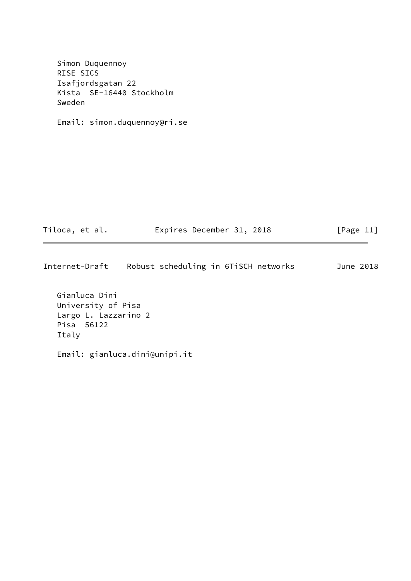Simon Duquennoy RISE SICS Isafjordsgatan 22 Kista SE-16440 Stockholm Sweden

Email: simon.duquennoy@ri.se

Tiloca, et al. **Expires December 31, 2018**[Page 11]

Internet-Draft Robust scheduling in 6TiSCH networks June 2018

 Gianluca Dini University of Pisa Largo L. Lazzarino 2 Pisa 56122 Italy

Email: gianluca.dini@unipi.it